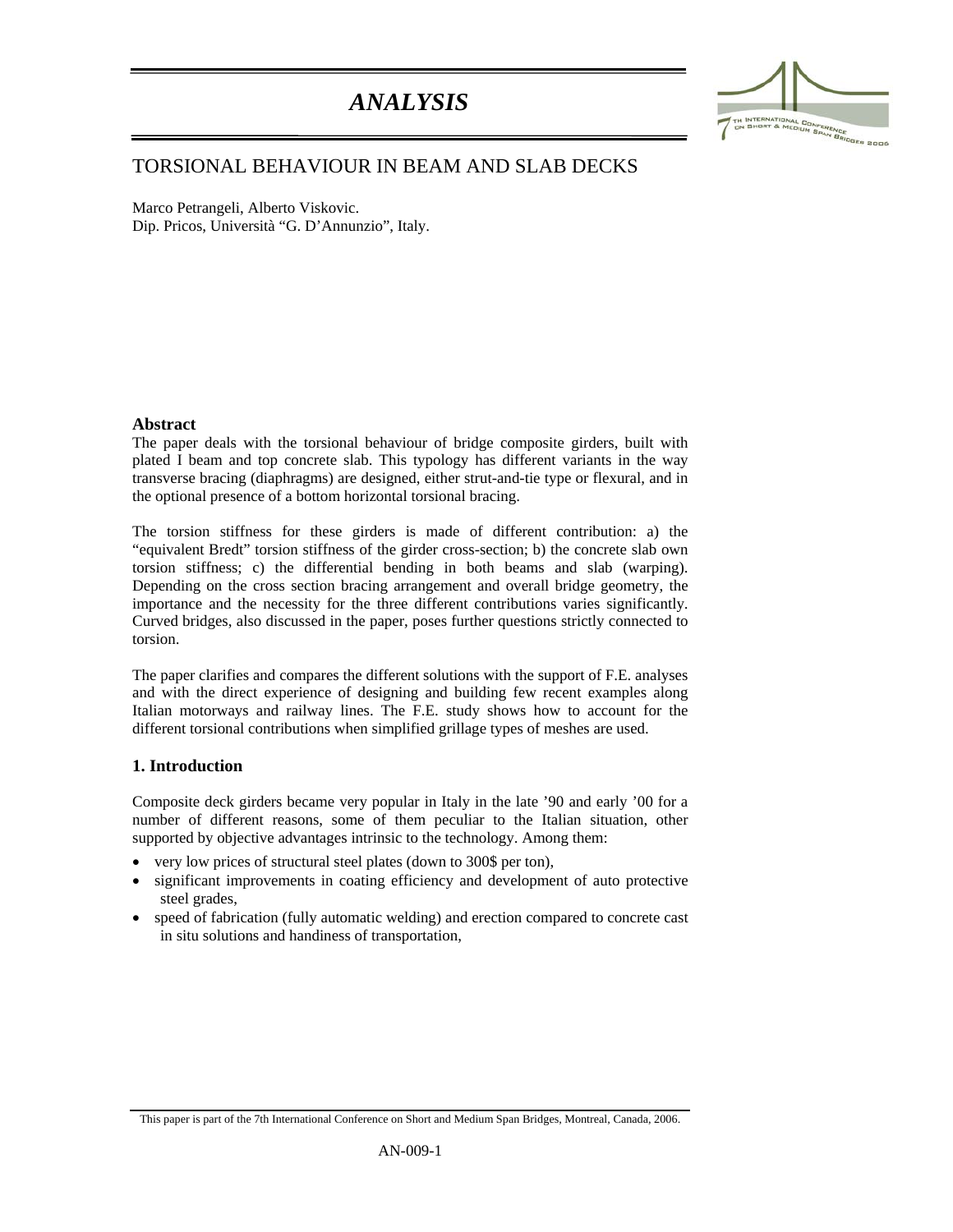# *ANALYSIS*



## TORSIONAL BEHAVIOUR IN BEAM AND SLAB DECKS

Marco Petrangeli, Alberto Viskovic. Dip. Pricos, Università "G. D'Annunzio", Italy.

## **Abstract**

:

The paper deals with the torsional behaviour of bridge composite girders, built with plated I beam and top concrete slab. This typology has different variants in the way transverse bracing (diaphragms) are designed, either strut-and-tie type or flexural, and in the optional presence of a bottom horizontal torsional bracing.

The torsion stiffness for these girders is made of different contribution: a) the "equivalent Bredt" torsion stiffness of the girder cross-section; b) the concrete slab own torsion stiffness; c) the differential bending in both beams and slab (warping). Depending on the cross section bracing arrangement and overall bridge geometry, the importance and the necessity for the three different contributions varies significantly. Curved bridges, also discussed in the paper, poses further questions strictly connected to torsion.

The paper clarifies and compares the different solutions with the support of F.E. analyses and with the direct experience of designing and building few recent examples along Italian motorways and railway lines. The F.E. study shows how to account for the different torsional contributions when simplified grillage types of meshes are used.

## **1. Introduction**

Composite deck girders became very popular in Italy in the late '90 and early '00 for a number of different reasons, some of them peculiar to the Italian situation, other supported by objective advantages intrinsic to the technology. Among them:

- very low prices of structural steel plates (down to 300\$ per ton),
- significant improvements in coating efficiency and development of auto protective steel grades,
- speed of fabrication (fully automatic welding) and erection compared to concrete cast in situ solutions and handiness of transportation,

This paper is part of the 7th International Conference on Short and Medium Span Bridges, Montreal, Canada, 2006.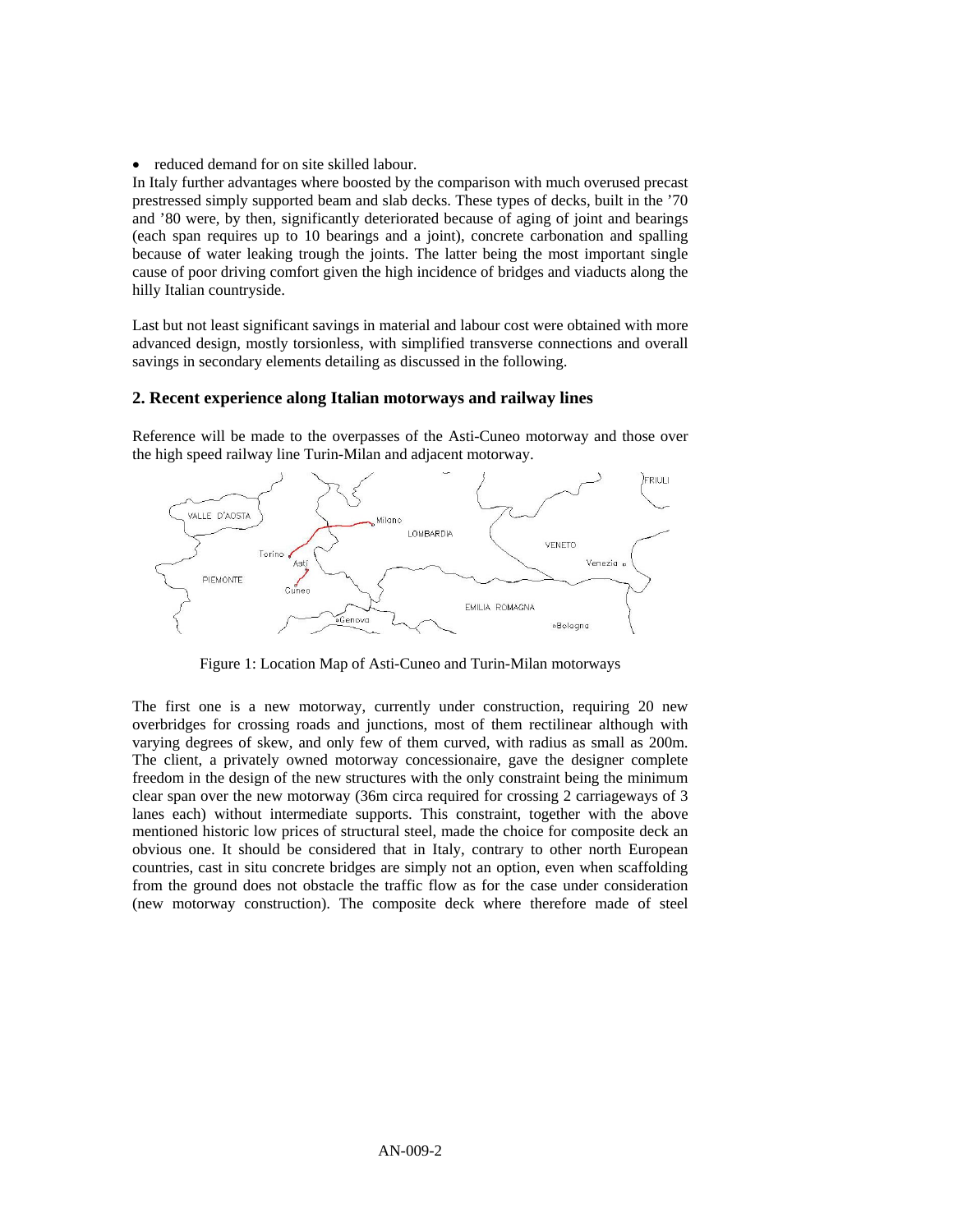• reduced demand for on site skilled labour.

In Italy further advantages where boosted by the comparison with much overused precast prestressed simply supported beam and slab decks. These types of decks, built in the '70 and '80 were, by then, significantly deteriorated because of aging of joint and bearings (each span requires up to 10 bearings and a joint), concrete carbonation and spalling because of water leaking trough the joints. The latter being the most important single cause of poor driving comfort given the high incidence of bridges and viaducts along the hilly Italian countryside.

Last but not least significant savings in material and labour cost were obtained with more advanced design, mostly torsionless, with simplified transverse connections and overall savings in secondary elements detailing as discussed in the following.

## **2. Recent experience along Italian motorways and railway lines**

Reference will be made to the overpasses of the Asti-Cuneo motorway and those over the high speed railway line Turin-Milan and adjacent motorway.



Figure 1: Location Map of Asti-Cuneo and Turin-Milan motorways

The first one is a new motorway, currently under construction, requiring 20 new overbridges for crossing roads and junctions, most of them rectilinear although with varying degrees of skew, and only few of them curved, with radius as small as 200m. The client, a privately owned motorway concessionaire, gave the designer complete freedom in the design of the new structures with the only constraint being the minimum clear span over the new motorway (36m circa required for crossing 2 carriageways of 3 lanes each) without intermediate supports. This constraint, together with the above mentioned historic low prices of structural steel, made the choice for composite deck an obvious one. It should be considered that in Italy, contrary to other north European countries, cast in situ concrete bridges are simply not an option, even when scaffolding from the ground does not obstacle the traffic flow as for the case under consideration (new motorway construction). The composite deck where therefore made of steel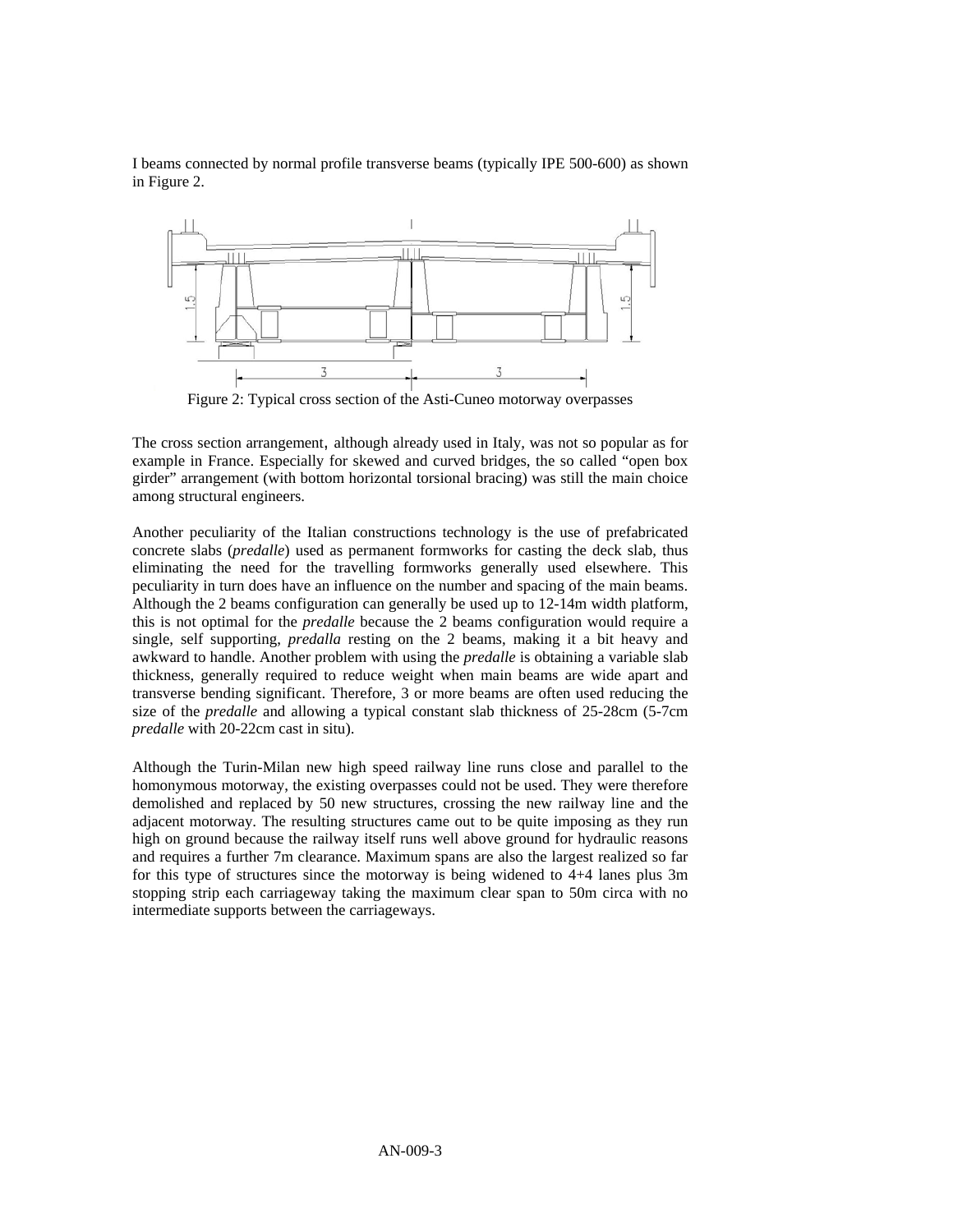I beams connected by normal profile transverse beams (typically IPE 500-600) as shown in Figure 2.



Figure 2: Typical cross section of the Asti-Cuneo motorway overpasses

The cross section arrangement, although already used in Italy, was not so popular as for example in France. Especially for skewed and curved bridges, the so called "open box girder" arrangement (with bottom horizontal torsional bracing) was still the main choice among structural engineers.

Another peculiarity of the Italian constructions technology is the use of prefabricated concrete slabs (*predalle*) used as permanent formworks for casting the deck slab, thus eliminating the need for the travelling formworks generally used elsewhere. This peculiarity in turn does have an influence on the number and spacing of the main beams. Although the 2 beams configuration can generally be used up to 12-14m width platform, this is not optimal for the *predalle* because the 2 beams configuration would require a single, self supporting, *predalla* resting on the 2 beams, making it a bit heavy and awkward to handle. Another problem with using the *predalle* is obtaining a variable slab thickness, generally required to reduce weight when main beams are wide apart and transverse bending significant. Therefore, 3 or more beams are often used reducing the size of the *predalle* and allowing a typical constant slab thickness of 25-28cm (5-7cm *predalle* with 20-22cm cast in situ).

Although the Turin-Milan new high speed railway line runs close and parallel to the homonymous motorway, the existing overpasses could not be used. They were therefore demolished and replaced by 50 new structures, crossing the new railway line and the adjacent motorway. The resulting structures came out to be quite imposing as they run high on ground because the railway itself runs well above ground for hydraulic reasons and requires a further 7m clearance. Maximum spans are also the largest realized so far for this type of structures since the motorway is being widened to 4+4 lanes plus 3m stopping strip each carriageway taking the maximum clear span to 50m circa with no intermediate supports between the carriageways.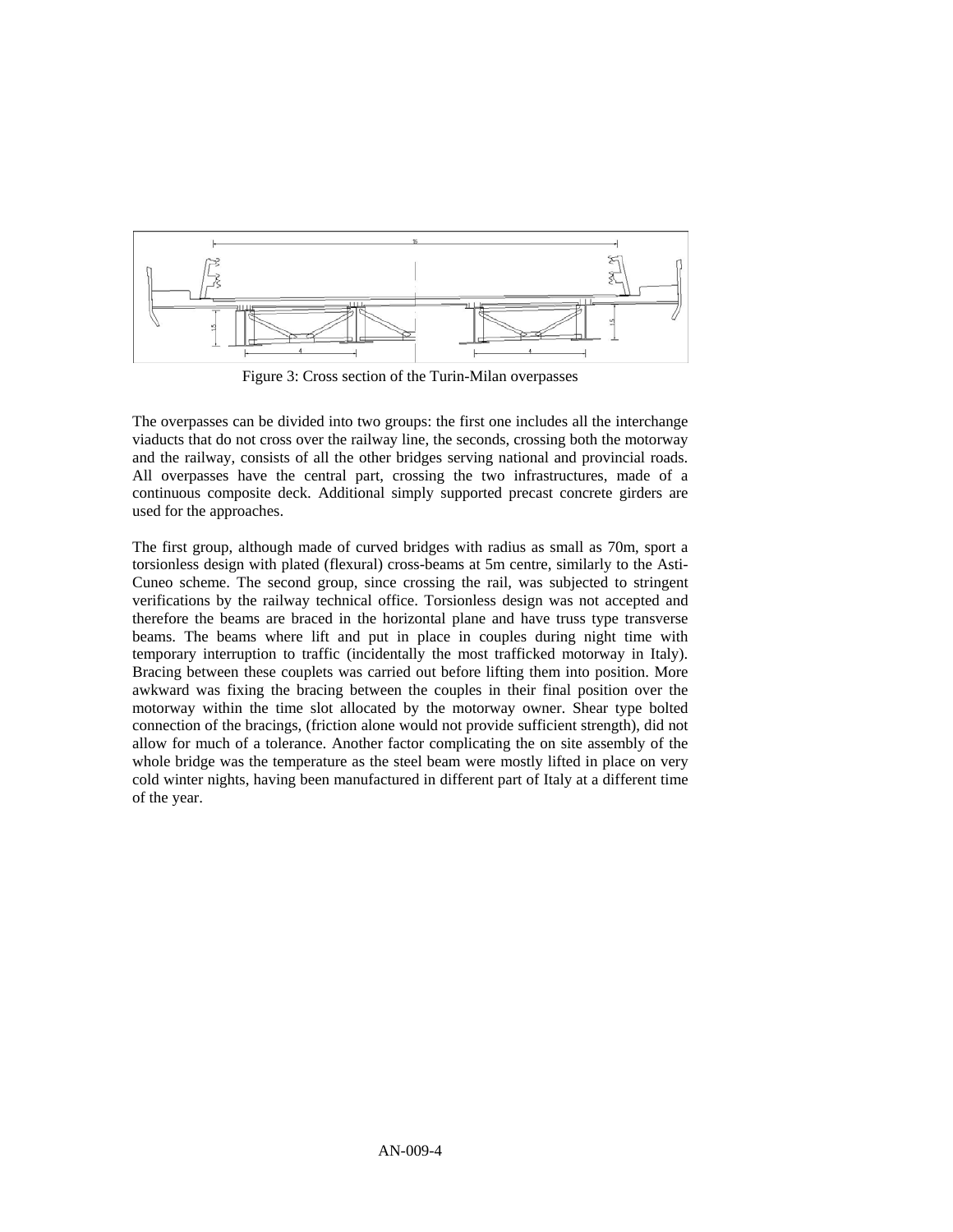

Figure 3: Cross section of the Turin-Milan overpasses

The overpasses can be divided into two groups: the first one includes all the interchange viaducts that do not cross over the railway line, the seconds, crossing both the motorway and the railway, consists of all the other bridges serving national and provincial roads. All overpasses have the central part, crossing the two infrastructures, made of a continuous composite deck. Additional simply supported precast concrete girders are used for the approaches.

The first group, although made of curved bridges with radius as small as 70m, sport a torsionless design with plated (flexural) cross-beams at 5m centre, similarly to the Asti-Cuneo scheme. The second group, since crossing the rail, was subjected to stringent verifications by the railway technical office. Torsionless design was not accepted and therefore the beams are braced in the horizontal plane and have truss type transverse beams. The beams where lift and put in place in couples during night time with temporary interruption to traffic (incidentally the most trafficked motorway in Italy). Bracing between these couplets was carried out before lifting them into position. More awkward was fixing the bracing between the couples in their final position over the motorway within the time slot allocated by the motorway owner. Shear type bolted connection of the bracings, (friction alone would not provide sufficient strength), did not allow for much of a tolerance. Another factor complicating the on site assembly of the whole bridge was the temperature as the steel beam were mostly lifted in place on very cold winter nights, having been manufactured in different part of Italy at a different time of the year.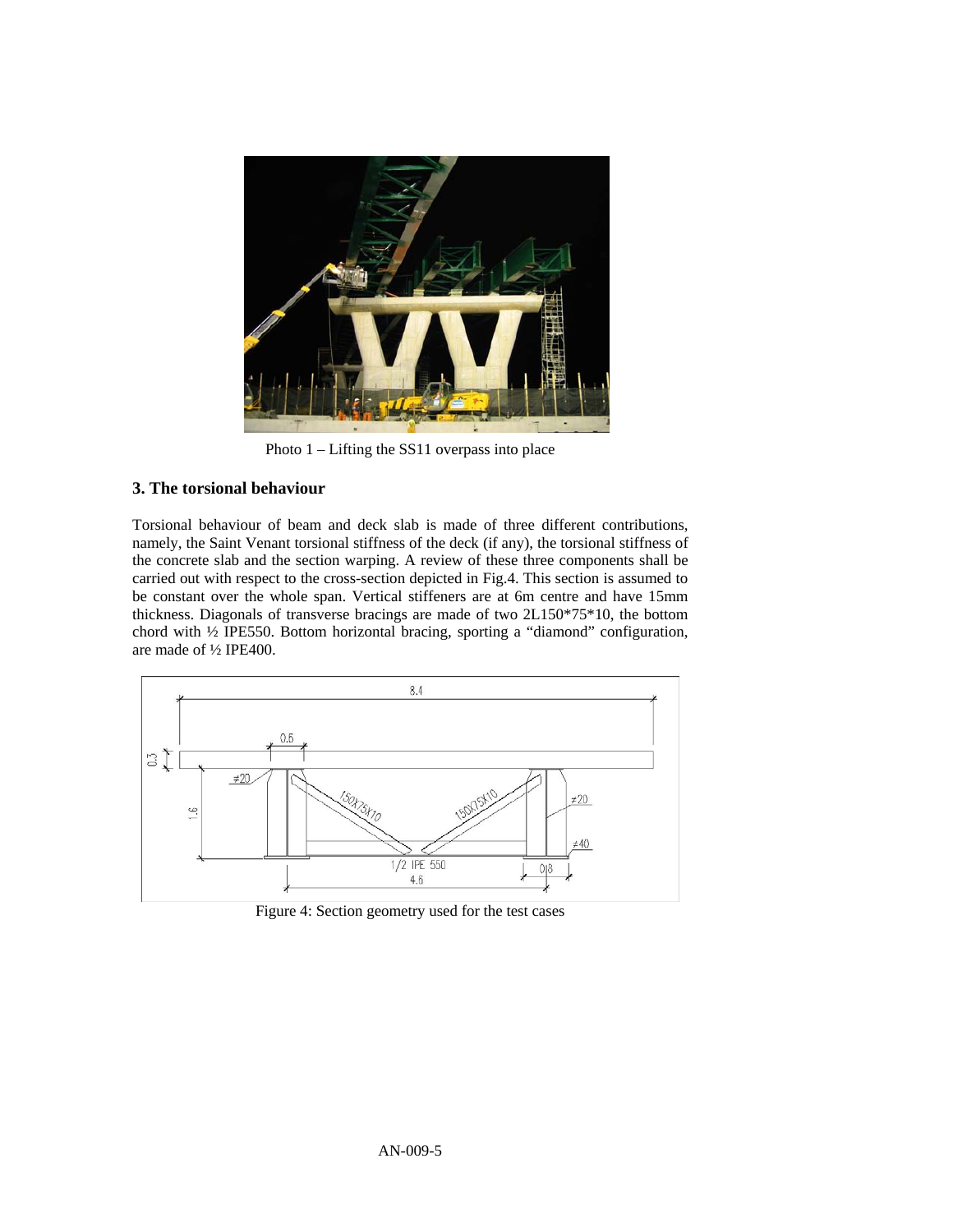

Photo 1 – Lifting the SS11 overpass into place

## **3. The torsional behaviour**

Torsional behaviour of beam and deck slab is made of three different contributions, namely, the Saint Venant torsional stiffness of the deck (if any), the torsional stiffness of the concrete slab and the section warping. A review of these three components shall be carried out with respect to the cross-section depicted in Fig.4. This section is assumed to be constant over the whole span. Vertical stiffeners are at 6m centre and have 15mm thickness. Diagonals of transverse bracings are made of two 2L150\*75\*10, the bottom chord with ½ IPE550. Bottom horizontal bracing, sporting a "diamond" configuration, are made of ½ IPE400.



Figure 4: Section geometry used for the test cases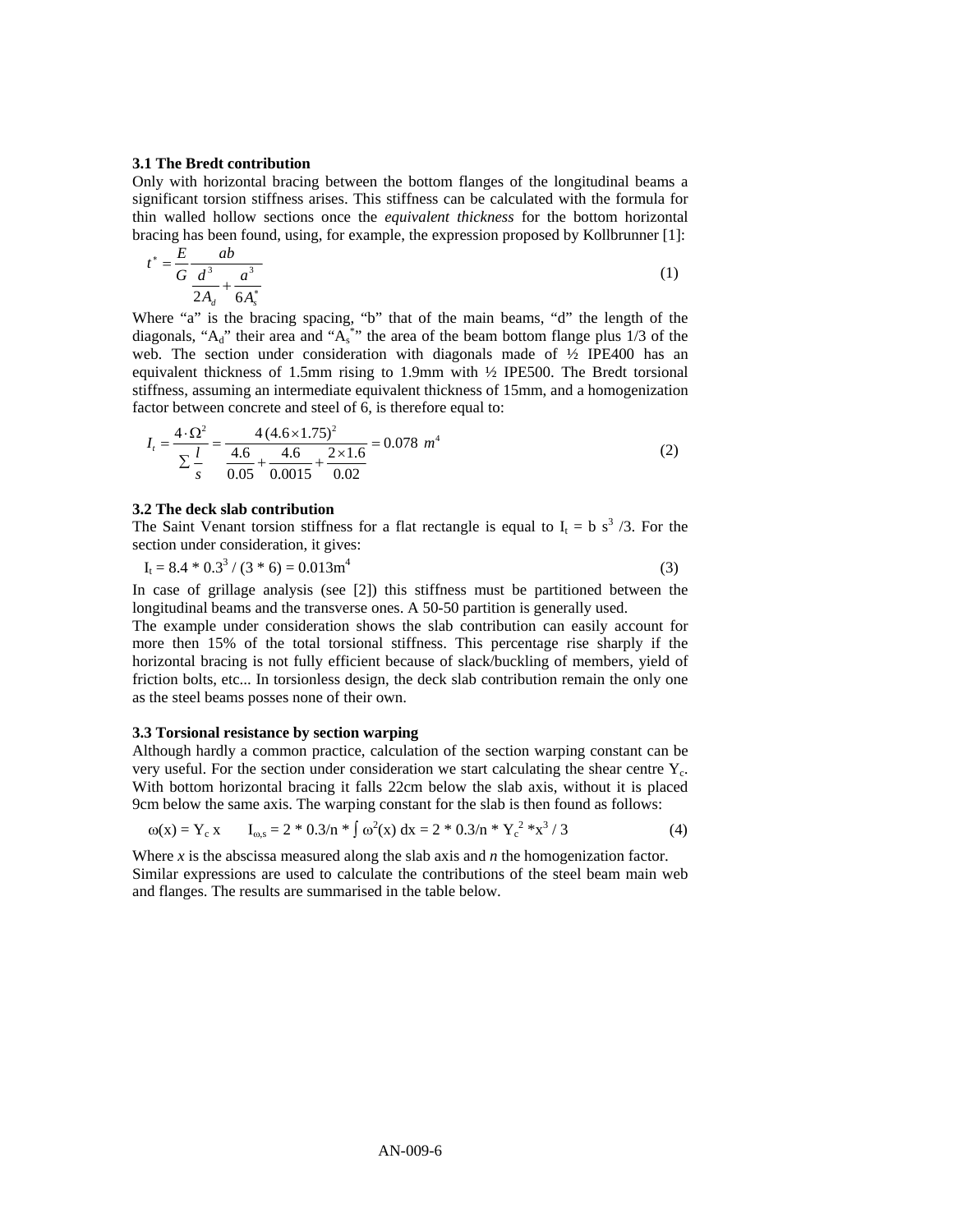#### **3.1 The Bredt contribution**

Only with horizontal bracing between the bottom flanges of the longitudinal beams a significant torsion stiffness arises. This stiffness can be calculated with the formula for thin walled hollow sections once the *equivalent thickness* for the bottom horizontal bracing has been found, using, for example, the expression proposed by Kollbrunner [1]:

$$
t^* = \frac{E}{G} \frac{ab}{\frac{d^3}{2A_d} + \frac{a^3}{6A_s^*}}
$$
 (1)

Where "a" is the bracing spacing, "b" that of the main beams, "d" the length of the diagonals, " $A_d$ " their area and " $A_s$ "" the area of the beam bottom flange plus 1/3 of the web. The section under consideration with diagonals made of ½ IPE400 has an equivalent thickness of 1.5mm rising to 1.9mm with ½ IPE500. The Bredt torsional stiffness, assuming an intermediate equivalent thickness of 15mm, and a homogenization factor between concrete and steel of 6, is therefore equal to:

$$
I_t = \frac{4 \cdot \Omega^2}{\sum_{s}^{1/2}} = \frac{4(4.6 \times 1.75)^2}{\frac{4.6}{0.05} + \frac{4.6}{0.0015} + \frac{2 \times 1.6}{0.02}} = 0.078 \ m^4
$$
 (2)

#### **3.2 The deck slab contribution**

The Saint Venant torsion stiffness for a flat rectangle is equal to  $I_t = b s^3 / 3$ . For the section under consideration, it gives:

 $I_t = 8.4 * 0.3^3 / (3 * 6) = 0.013m^4$ (3)

In case of grillage analysis (see [2]) this stiffness must be partitioned between the longitudinal beams and the transverse ones. A 50-50 partition is generally used.

The example under consideration shows the slab contribution can easily account for more then 15% of the total torsional stiffness. This percentage rise sharply if the horizontal bracing is not fully efficient because of slack/buckling of members, yield of friction bolts, etc... In torsionless design, the deck slab contribution remain the only one as the steel beams posses none of their own.

#### **3.3 Torsional resistance by section warping**

Although hardly a common practice, calculation of the section warping constant can be very useful. For the section under consideration we start calculating the shear centre  $Y_c$ . With bottom horizontal bracing it falls 22cm below the slab axis, without it is placed 9cm below the same axis. The warping constant for the slab is then found as follows:

$$
\omega(x) = Y_c x \qquad I_{\omega, s} = 2 * 0.3/n * \int \omega^2(x) dx = 2 * 0.3/n * Y_c^2 * x^3 / 3
$$
 (4)

Where *x* is the abscissa measured along the slab axis and *n* the homogenization factor. Similar expressions are used to calculate the contributions of the steel beam main web and flanges. The results are summarised in the table below.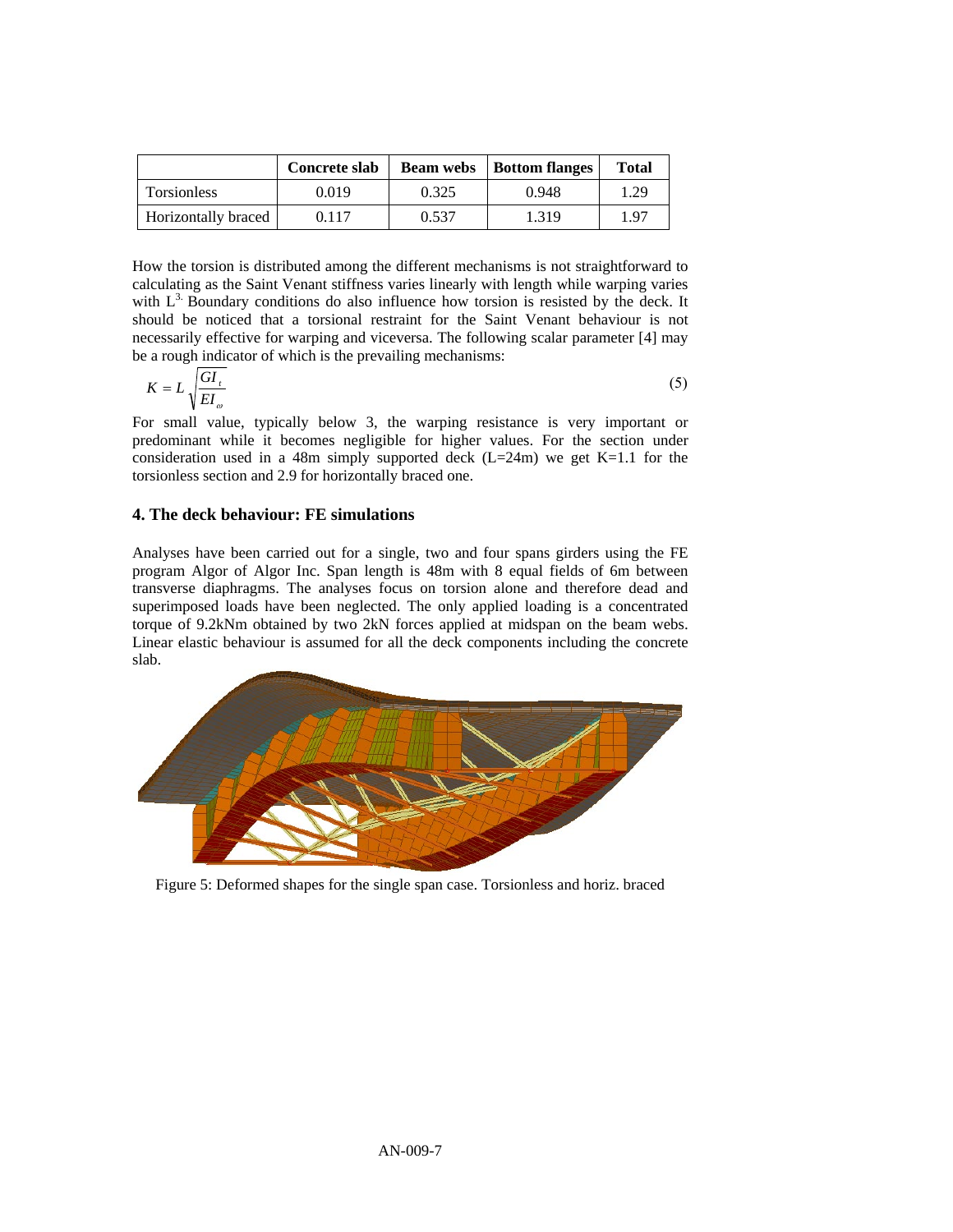|                     | Concrete slab |       | <b>Beam webs</b>   <b>Bottom</b> flanges | <b>Total</b> |
|---------------------|---------------|-------|------------------------------------------|--------------|
| <b>Torsionless</b>  | 0.019         | 0.325 | 0.948                                    | 1.29         |
| Horizontally braced | 0.117         | 0.537 | 1.319                                    | 1.97         |

How the torsion is distributed among the different mechanisms is not straightforward to calculating as the Saint Venant stiffness varies linearly with length while warping varies with  $L<sup>3</sup>$ . Boundary conditions do also influence how torsion is resisted by the deck. It should be noticed that a torsional restraint for the Saint Venant behaviour is not necessarily effective for warping and viceversa. The following scalar parameter [4] may be a rough indicator of which is the prevailing mechanisms:

$$
K = L \sqrt{\frac{GI_{t}}{EI_{\omega}}} \tag{5}
$$

For small value, typically below 3, the warping resistance is very important or predominant while it becomes negligible for higher values. For the section under consideration used in a 48m simply supported deck  $(L=24m)$  we get K=1.1 for the torsionless section and 2.9 for horizontally braced one.

## **4. The deck behaviour: FE simulations**

Analyses have been carried out for a single, two and four spans girders using the FE program Algor of Algor Inc. Span length is 48m with 8 equal fields of 6m between transverse diaphragms. The analyses focus on torsion alone and therefore dead and superimposed loads have been neglected. The only applied loading is a concentrated torque of 9.2kNm obtained by two 2kN forces applied at midspan on the beam webs. Linear elastic behaviour is assumed for all the deck components including the concrete slab.



Figure 5: Deformed shapes for the single span case. Torsionless and horiz. braced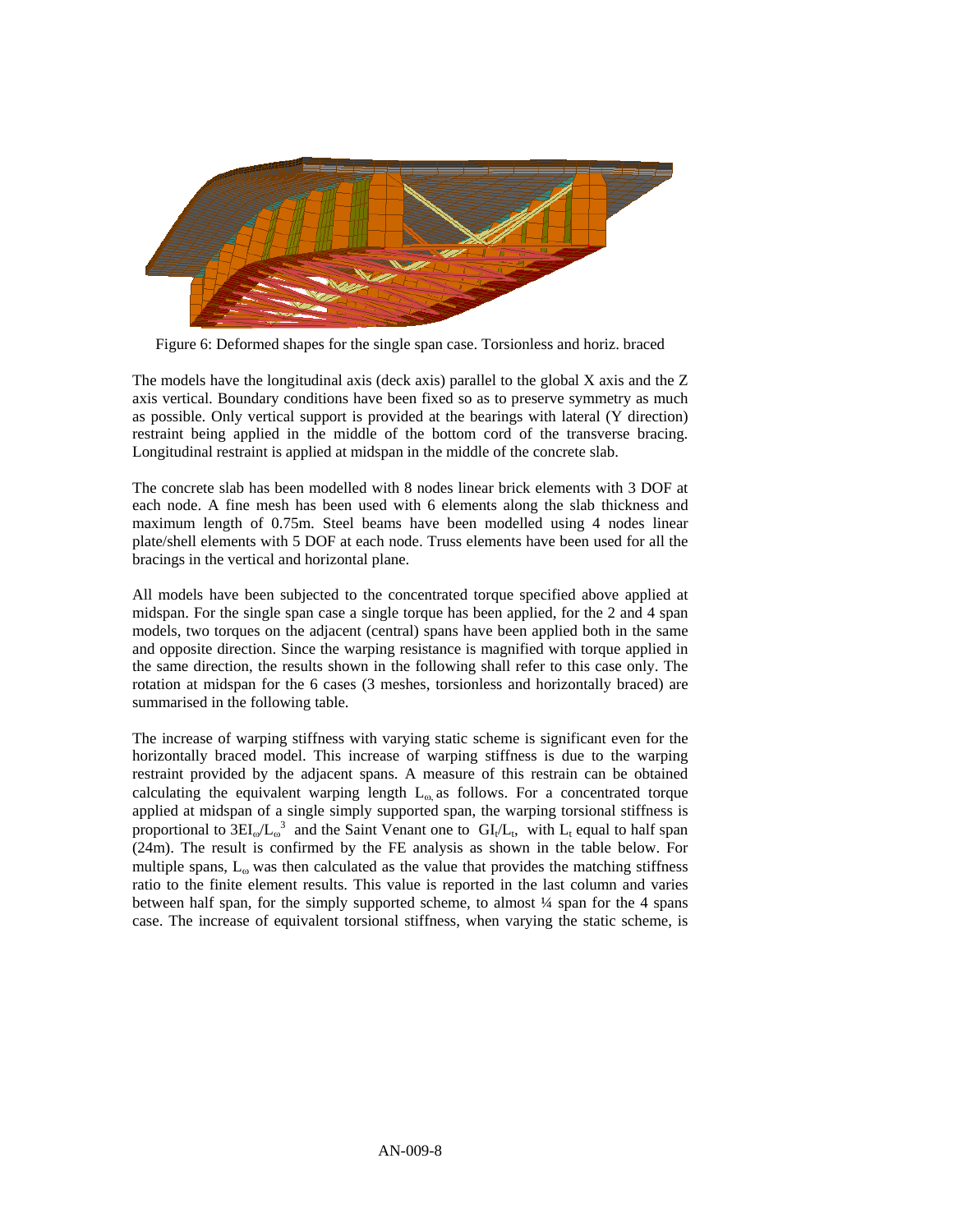

Figure 6: Deformed shapes for the single span case. Torsionless and horiz. braced

The models have the longitudinal axis (deck axis) parallel to the global X axis and the Z axis vertical. Boundary conditions have been fixed so as to preserve symmetry as much as possible. Only vertical support is provided at the bearings with lateral (Y direction) restraint being applied in the middle of the bottom cord of the transverse bracing. Longitudinal restraint is applied at midspan in the middle of the concrete slab.

The concrete slab has been modelled with 8 nodes linear brick elements with 3 DOF at each node. A fine mesh has been used with 6 elements along the slab thickness and maximum length of 0.75m. Steel beams have been modelled using 4 nodes linear plate/shell elements with 5 DOF at each node. Truss elements have been used for all the bracings in the vertical and horizontal plane.

All models have been subjected to the concentrated torque specified above applied at midspan. For the single span case a single torque has been applied, for the 2 and 4 span models, two torques on the adjacent (central) spans have been applied both in the same and opposite direction. Since the warping resistance is magnified with torque applied in the same direction, the results shown in the following shall refer to this case only. The rotation at midspan for the 6 cases (3 meshes, torsionless and horizontally braced) are summarised in the following table.

The increase of warping stiffness with varying static scheme is significant even for the horizontally braced model. This increase of warping stiffness is due to the warping restraint provided by the adjacent spans. A measure of this restrain can be obtained calculating the equivalent warping length  $L_{\omega}$  as follows. For a concentrated torque applied at midspan of a single simply supported span, the warping torsional stiffness is proportional to  $3EI_{\omega}/L_{\omega}^3$  and the Saint Venant one to  $GI_{t}/L_{t}$ , with  $L_{t}$  equal to half span (24m). The result is confirmed by the FE analysis as shown in the table below. For multiple spans,  $L_{\omega}$  was then calculated as the value that provides the matching stiffness ratio to the finite element results. This value is reported in the last column and varies between half span, for the simply supported scheme, to almost ¼ span for the 4 spans case. The increase of equivalent torsional stiffness, when varying the static scheme, is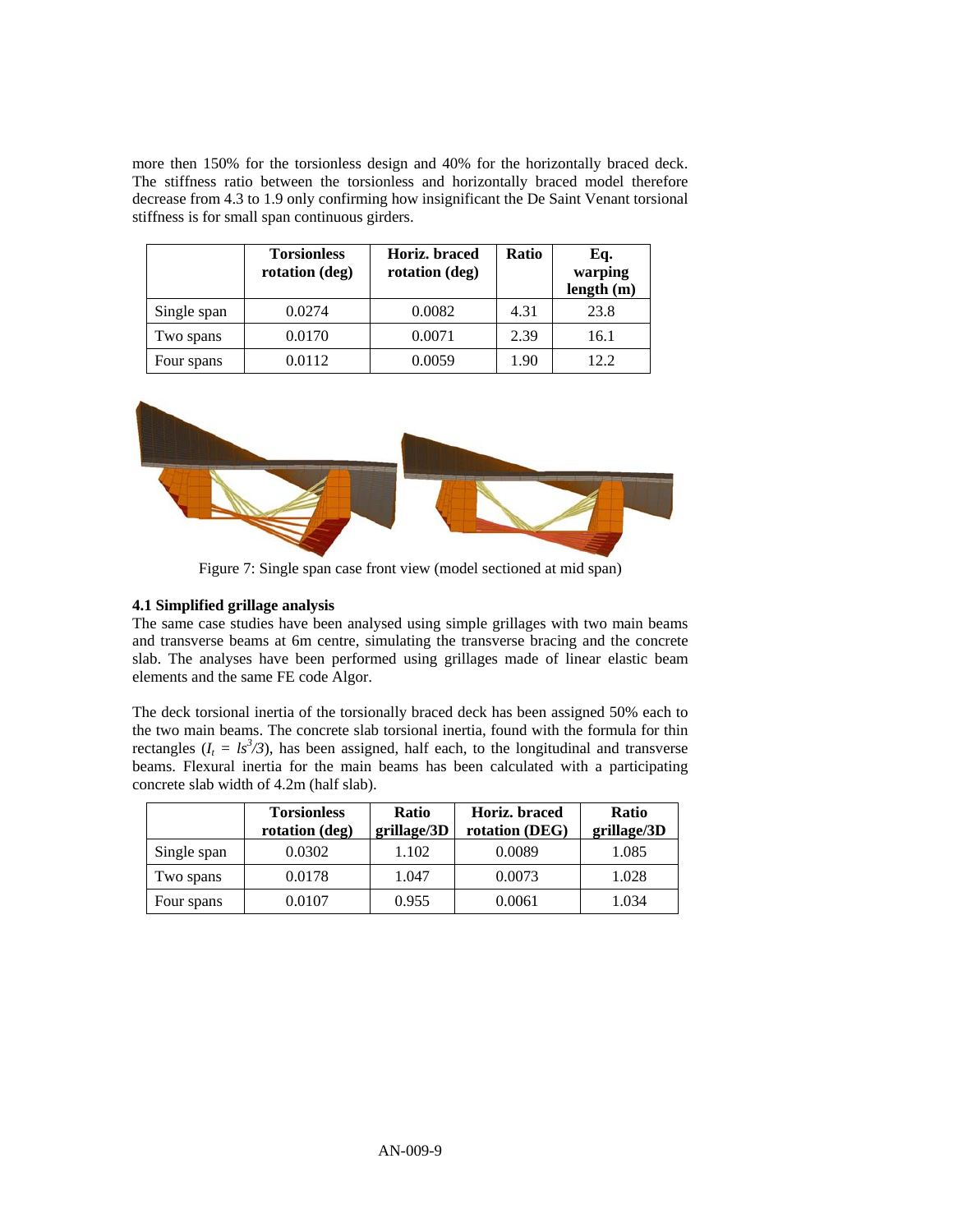more then 150% for the torsionless design and 40% for the horizontally braced deck. The stiffness ratio between the torsionless and horizontally braced model therefore decrease from 4.3 to 1.9 only confirming how insignificant the De Saint Venant torsional stiffness is for small span continuous girders.

|             | <b>Torsionless</b><br>rotation (deg) | Horiz. braced<br>rotation (deg) | Ratio | Eq.<br>warping<br>length(m) |
|-------------|--------------------------------------|---------------------------------|-------|-----------------------------|
| Single span | 0.0274                               | 0.0082                          | 4.31  | 23.8                        |
| Two spans   | 0.0170                               | 0.0071                          | 2.39  | 16.1                        |
| Four spans  | 0.0112                               | 0.0059                          | 1.90  | 12.2                        |



Figure 7: Single span case front view (model sectioned at mid span)

## **4.1 Simplified grillage analysis**

The same case studies have been analysed using simple grillages with two main beams and transverse beams at 6m centre, simulating the transverse bracing and the concrete slab. The analyses have been performed using grillages made of linear elastic beam elements and the same FE code Algor.

The deck torsional inertia of the torsionally braced deck has been assigned 50% each to the two main beams. The concrete slab torsional inertia, found with the formula for thin rectangles  $(I_t = Is^3/3)$ , has been assigned, half each, to the longitudinal and transverse beams. Flexural inertia for the main beams has been calculated with a participating concrete slab width of 4.2m (half slab).

|             | <b>Torsionless</b><br>rotation (deg) | <b>Ratio</b><br>grillage/3D | Horiz. braced<br>rotation (DEG) | <b>Ratio</b><br>grillage/3D |
|-------------|--------------------------------------|-----------------------------|---------------------------------|-----------------------------|
| Single span | 0.0302                               | 1.102                       | 0.0089                          | 1.085                       |
| Two spans   | 0.0178                               | 1.047                       | 0.0073                          | 1.028                       |
| Four spans  | 0.0107                               | 0.955                       | 0.0061                          | 1.034                       |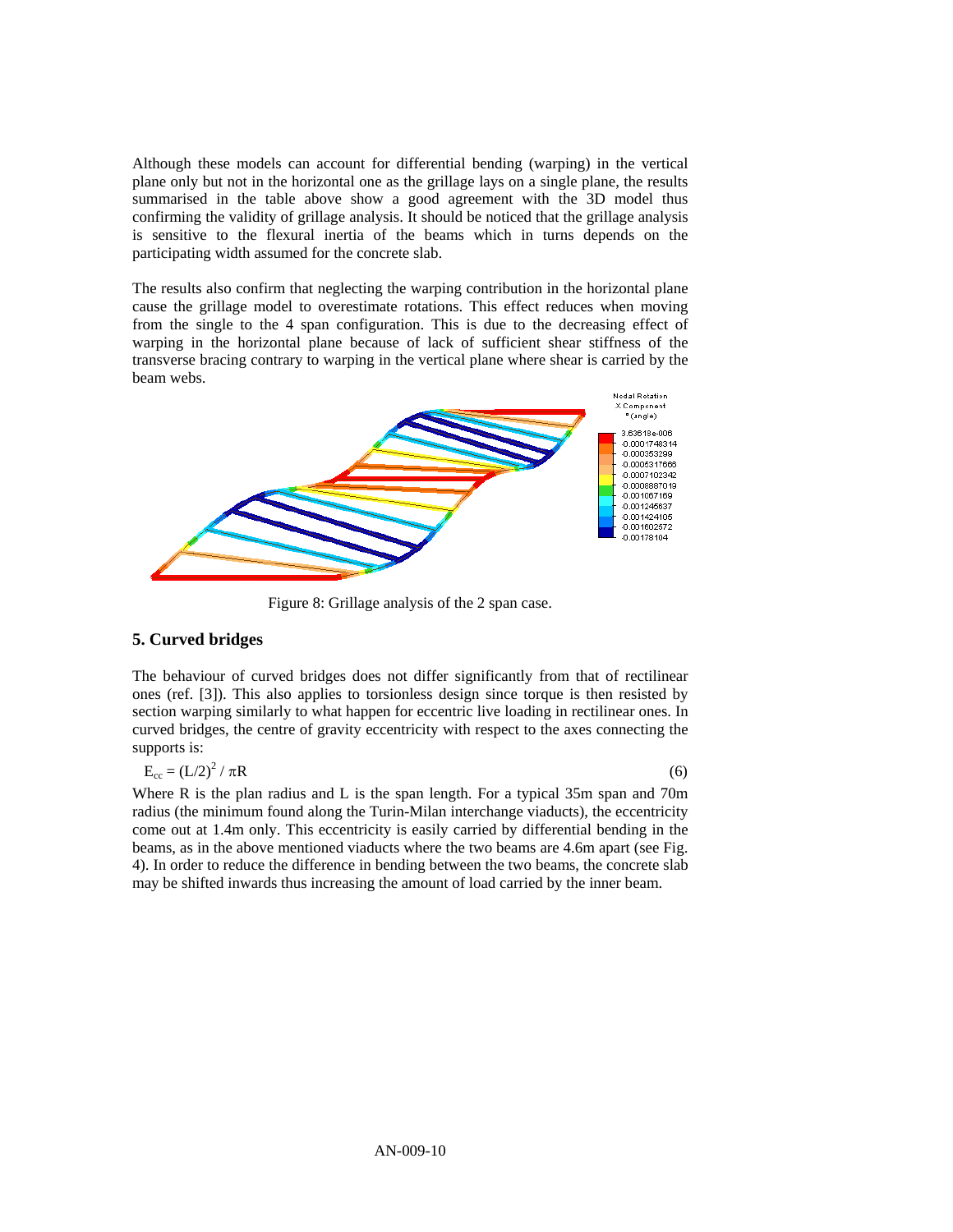Although these models can account for differential bending (warping) in the vertical plane only but not in the horizontal one as the grillage lays on a single plane, the results summarised in the table above show a good agreement with the 3D model thus confirming the validity of grillage analysis. It should be noticed that the grillage analysis is sensitive to the flexural inertia of the beams which in turns depends on the participating width assumed for the concrete slab.

The results also confirm that neglecting the warping contribution in the horizontal plane cause the grillage model to overestimate rotations. This effect reduces when moving from the single to the 4 span configuration. This is due to the decreasing effect of warping in the horizontal plane because of lack of sufficient shear stiffness of the transverse bracing contrary to warping in the vertical plane where shear is carried by the beam webs.



Figure 8: Grillage analysis of the 2 span case.

#### **5. Curved bridges**

The behaviour of curved bridges does not differ significantly from that of rectilinear ones (ref. [3]). This also applies to torsionless design since torque is then resisted by section warping similarly to what happen for eccentric live loading in rectilinear ones. In curved bridges, the centre of gravity eccentricity with respect to the axes connecting the supports is:

$$
E_{cc} = (L/2)^2 / \pi R \tag{6}
$$

Where R is the plan radius and L is the span length. For a typical 35m span and 70m radius (the minimum found along the Turin-Milan interchange viaducts), the eccentricity come out at 1.4m only. This eccentricity is easily carried by differential bending in the beams, as in the above mentioned viaducts where the two beams are 4.6m apart (see Fig. 4). In order to reduce the difference in bending between the two beams, the concrete slab may be shifted inwards thus increasing the amount of load carried by the inner beam.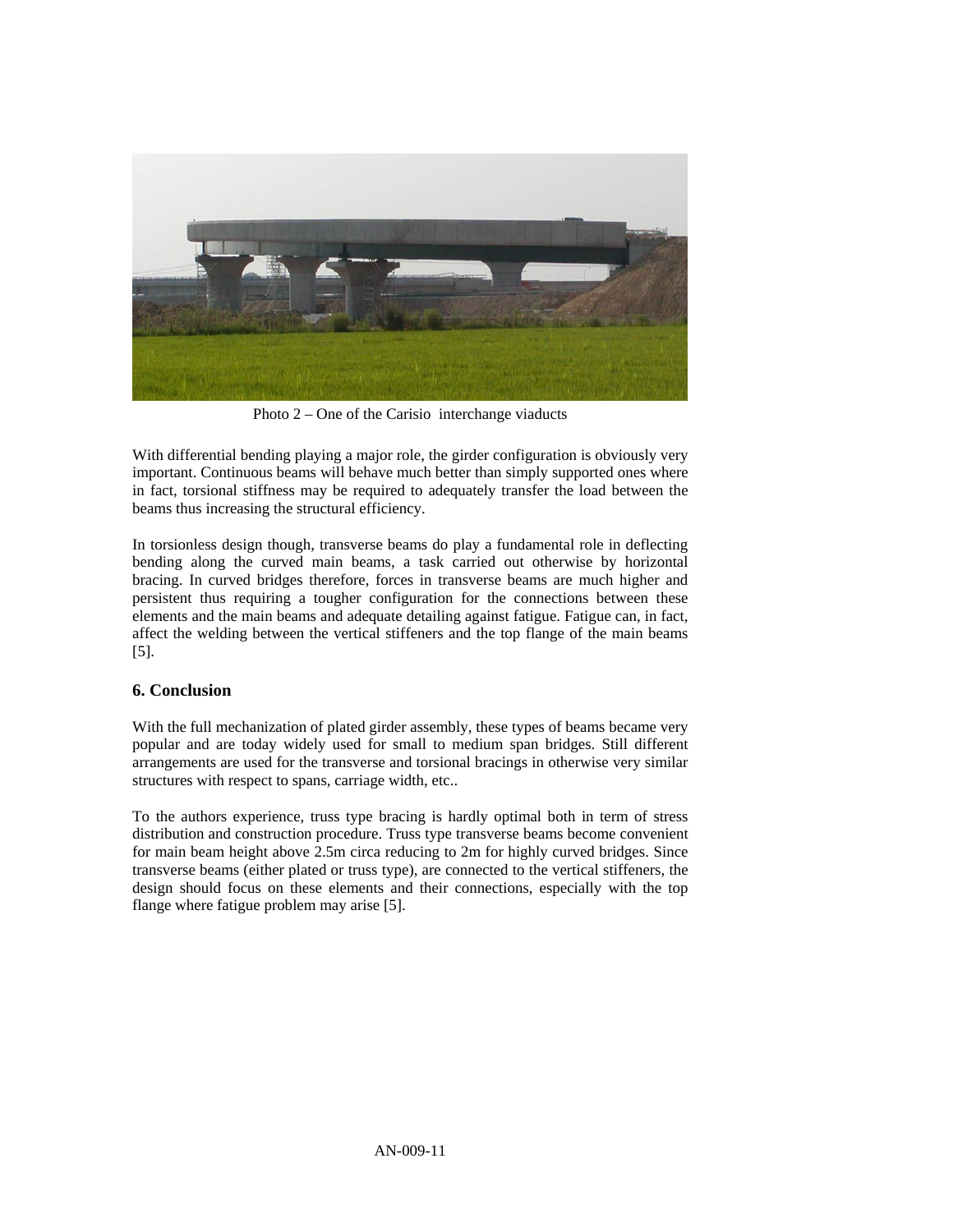

Photo 2 – One of the Carisio interchange viaducts

With differential bending playing a major role, the girder configuration is obviously very important. Continuous beams will behave much better than simply supported ones where in fact, torsional stiffness may be required to adequately transfer the load between the beams thus increasing the structural efficiency.

In torsionless design though, transverse beams do play a fundamental role in deflecting bending along the curved main beams, a task carried out otherwise by horizontal bracing. In curved bridges therefore, forces in transverse beams are much higher and persistent thus requiring a tougher configuration for the connections between these elements and the main beams and adequate detailing against fatigue. Fatigue can, in fact, affect the welding between the vertical stiffeners and the top flange of the main beams [5].

## **6. Conclusion**

With the full mechanization of plated girder assembly, these types of beams became very popular and are today widely used for small to medium span bridges. Still different arrangements are used for the transverse and torsional bracings in otherwise very similar structures with respect to spans, carriage width, etc..

To the authors experience, truss type bracing is hardly optimal both in term of stress distribution and construction procedure. Truss type transverse beams become convenient for main beam height above 2.5m circa reducing to 2m for highly curved bridges. Since transverse beams (either plated or truss type), are connected to the vertical stiffeners, the design should focus on these elements and their connections, especially with the top flange where fatigue problem may arise [5].